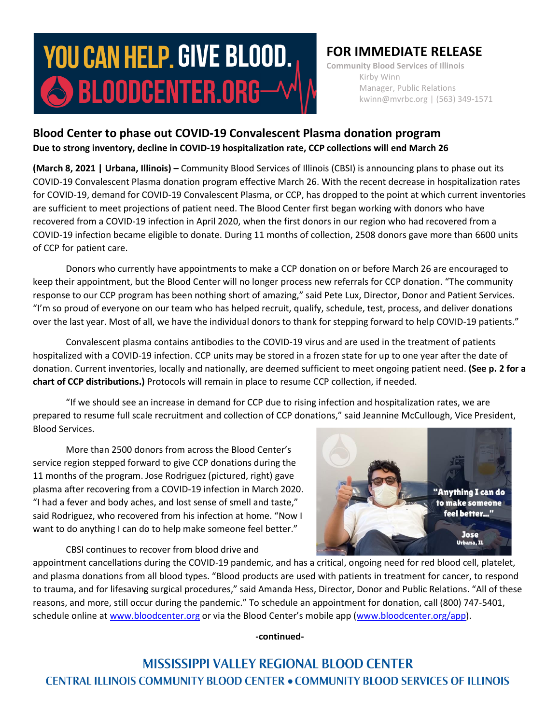# **YOU CAN HELP. GIVE BLOOD.**  $\bigcirc$  bloodcenter.org $-$

## **FOR IMMEDIATE RELEASE**

**Community Blood Services of Illinois** Kirby Winn Manager, Public Relations kwinn@mvrbc.org | (563) 349-1571

### **Blood Center to phase out COVID-19 Convalescent Plasma donation program Due to strong inventory, decline in COVID-19 hospitalization rate, CCP collections will end March 26**

**(March 8, 2021 | Urbana, Illinois)** – Community Blood Services of Illinois (CBSI) is announcing plans to phase out its COVID-19 Convalescent Plasma donation program effective March 26. With the recent decrease in hospitalization rates for COVID-19, demand for COVID-19 Convalescent Plasma, or CCP, has dropped to the point at which current inventories are sufficient to meet projections of patient need. The Blood Center first began working with donors who have recovered from a COVID-19 infection in April 2020, when the first donors in our region who had recovered from a COVID-19 infection became eligible to donate. During 11 months of collection, 2508 donors gave more than 6600 units of CCP for patient care.

Donors who currently have appointments to make a CCP donation on or before March 26 are encouraged to keep their appointment, but the Blood Center will no longer process new referrals for CCP donation. "The community response to our CCP program has been nothing short of amazing," said Pete Lux, Director, Donor and Patient Services. "I'm so proud of everyone on our team who has helped recruit, qualify, schedule, test, process, and deliver donations over the last year. Most of all, we have the individual donors to thank for stepping forward to help COVID-19 patients."

Convalescent plasma contains antibodies to the COVID-19 virus and are used in the treatment of patients hospitalized with a COVID-19 infection. CCP units may be stored in a frozen state for up to one year after the date of donation. Current inventories, locally and nationally, are deemed sufficient to meet ongoing patient need. **(See p. 2 for a chart of CCP distributions.)** Protocols will remain in place to resume CCP collection, if needed.

"If we should see an increase in demand for CCP due to rising infection and hospitalization rates, we are prepared to resume full scale recruitment and collection of CCP donations," said Jeannine McCullough, Vice President, Blood Services.

More than 2500 donors from across the Blood Center's service region stepped forward to give CCP donations during the 11 months of the program. Jose Rodriguez (pictured, right) gave plasma after recovering from a COVID-19 infection in March 2020. "I had a fever and body aches, and lost sense of smell and taste," said Rodriguez, who recovered from his infection at home. "Now I want to do anything I can do to help make someone feel better."

"Anything I can do to make someone feel better...' **Jose** Urbana, IL

CBSI continues to recover from blood drive and

appointment cancellations during the COVID-19 pandemic, and has a critical, ongoing need for red blood cell, platelet, and plasma donations from all blood types. "Blood products are used with patients in treatment for cancer, to respond to trauma, and for lifesaving surgical procedures," said Amanda Hess, Director, Donor and Public Relations. "All of these reasons, and more, still occur during the pandemic." To schedule an appointment for donation, call (800) 747-5401, schedule online at [www.bloodcenter.org](http://www.bloodcenter.org/) or via the Blood Center's mobile app ([www.bloodcenter.org/app\)](http://www.bloodcenter.org/app).

**-continued-**

**MISSISSIPPI VALLEY REGIONAL BLOOD CENTER CENTRAL ILLINOIS COMMUNITY BLOOD CENTER . COMMUNITY BLOOD SERVICES OF ILLINOIS**